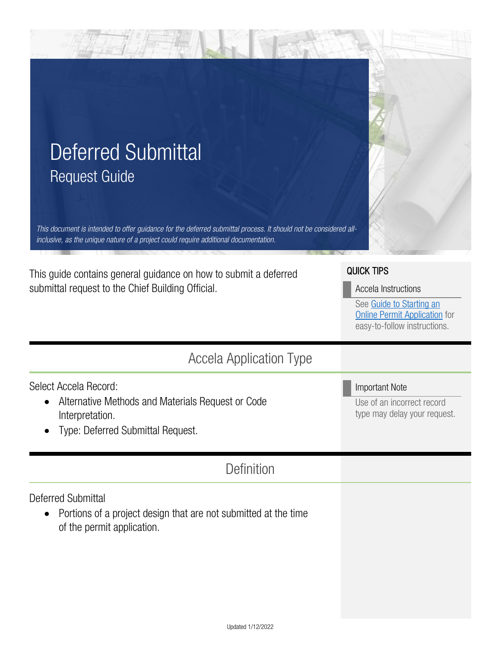| <b>Deferred Submittal</b>                                                                                                                                                                                |                                                                                                                                              |
|----------------------------------------------------------------------------------------------------------------------------------------------------------------------------------------------------------|----------------------------------------------------------------------------------------------------------------------------------------------|
| <b>Request Guide</b>                                                                                                                                                                                     |                                                                                                                                              |
| This document is intended to offer guidance for the deferred submittal process. It should not be considered all-<br>inclusive, as the unique nature of a project could require additional documentation. |                                                                                                                                              |
| This guide contains general guidance on how to submit a deferred<br>submittal request to the Chief Building Official.                                                                                    | <b>QUICK TIPS</b><br>Accela Instructions<br>See Guide to Starting an<br><b>Online Permit Application</b> for<br>easy-to-follow instructions. |
| <b>Accela Application Type</b>                                                                                                                                                                           |                                                                                                                                              |
| Select Accela Record:<br>Alternative Methods and Materials Request or Code<br>Interpretation.<br>Type: Deferred Submittal Request.                                                                       | <b>Important Note</b><br>Use of an incorrect record<br>type may delay your request.                                                          |
| <b>Definition</b>                                                                                                                                                                                        |                                                                                                                                              |
| <b>Deferred Submittal</b><br>Portions of a project design that are not submitted at the time<br>$\bullet$<br>of the permit application.                                                                  |                                                                                                                                              |